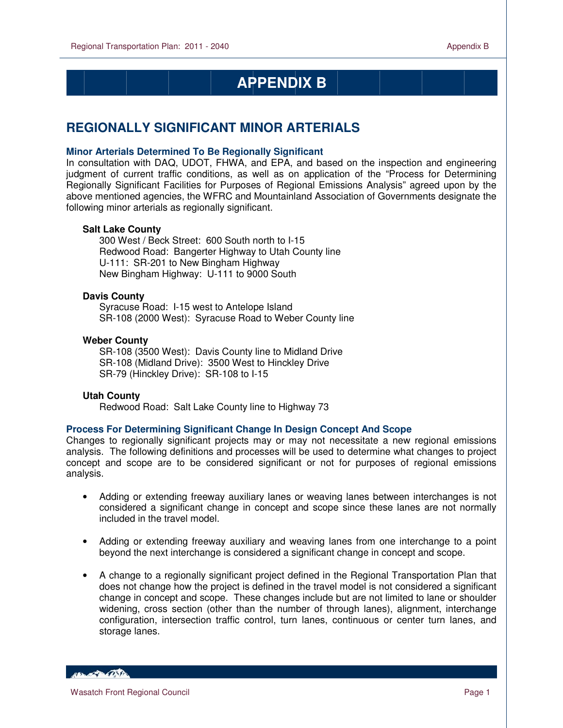$\overline{a}$ 

# **APPENDIX E APPENDIX B**

## **REGIONALLY SIGNIFICANT MINOR ARTERIALS**

### **Minor Arterials Determined To Be Regionally Significant**

In consultation with DAQ, UDOT, FHWA, and EPA, and based on the inspection and engineering judgment of current traffic conditions, as well as on application of the "Process for Determining Regionally Significant Facilities for Purposes of Regional Emissions Analysis" agreed upon by the above mentioned agencies, the WFRC and Mountainland Association of Governments designate the following minor arterials as regionally significant.

#### **Salt Lake County**

300 West / Beck Street: 600 South north to I-15 Redwood Road: Bangerter Highway to Utah County line U-111: SR-201 to New Bingham Highway New Bingham Highway: U-111 to 9000 South

### **Davis County**

 Syracuse Road: I-15 west to Antelope Island SR-108 (2000 West): Syracuse Road to Weber County line

#### **Weber County**

 SR-108 (3500 West): Davis County line to Midland Drive SR-108 (Midland Drive): 3500 West to Hinckley Drive SR-79 (Hinckley Drive): SR-108 to I-15

#### **Utah County**

Redwood Road: Salt Lake County line to Highway 73

#### **Process For Determining Significant Change In Design Concept And Scope**

Changes to regionally significant projects may or may not necessitate a new regional emissions analysis. The following definitions and processes will be used to determine what changes to project concept and scope are to be considered significant or not for purposes of regional emissions analysis.

- Adding or extending freeway auxiliary lanes or weaving lanes between interchanges is not considered a significant change in concept and scope since these lanes are not normally included in the travel model.
- Adding or extending freeway auxiliary and weaving lanes from one interchange to a point beyond the next interchange is considered a significant change in concept and scope.
- A change to a regionally significant project defined in the Regional Transportation Plan that does not change how the project is defined in the travel model is not considered a significant change in concept and scope. These changes include but are not limited to lane or shoulder widening, cross section (other than the number of through lanes), alignment, interchange configuration, intersection traffic control, turn lanes, continuous or center turn lanes, and storage lanes.

**Contact Bank Days**